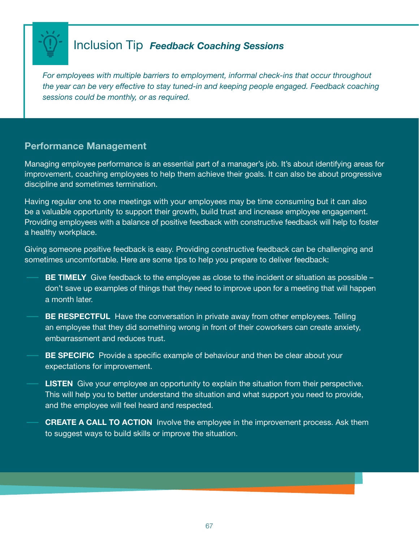

## Inclusion Tip *Feedback Coaching Sessions*

*For employees with multiple barriers to employment, informal check-ins that occur throughout the year can be very effective to stay tuned-in and keeping people engaged. Feedback coaching sessions could be monthly, or as required.*

### Performance Management

Managing employee performance is an essential part of a manager's job. It's about identifying areas for improvement, coaching employees to help them achieve their goals. It can also be about progressive discipline and sometimes termination.

Having regular one to one meetings with your employees may be time consuming but it can also be a valuable opportunity to support their growth, build trust and increase employee engagement. Providing employees with a balance of positive feedback with constructive feedback will help to foster a healthy workplace.

Giving someone positive feedback is easy. Providing constructive feedback can be challenging and sometimes uncomfortable. Here are some tips to help you prepare to deliver feedback:

- **BE TIMELY** Give feedback to the employee as close to the incident or situation as possible  $$ don't save up examples of things that they need to improve upon for a meeting that will happen a month later.
- **BE RESPECTFUL** Have the conversation in private away from other employees. Telling an employee that they did something wrong in front of their coworkers can create anxiety, embarrassment and reduces trust.
- **BE SPECIFIC** Provide a specific example of behaviour and then be clear about your expectations for improvement.
- **LISTEN** Give your employee an opportunity to explain the situation from their perspective. This will help you to better understand the situation and what support you need to provide, and the employee will feel heard and respected.
- **CREATE A CALL TO ACTION** Involve the employee in the improvement process. Ask them to suggest ways to build skills or improve the situation.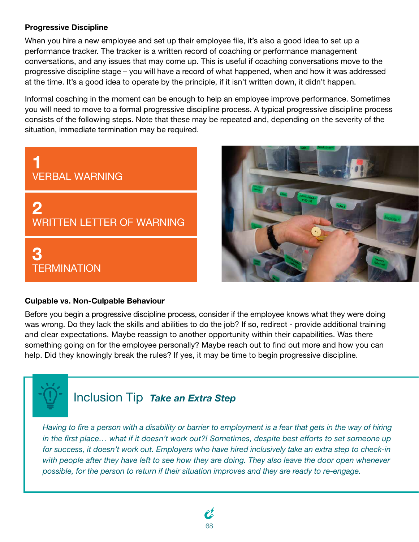#### Progressive Discipline

When you hire a new employee and set up their employee file, it's also a good idea to set up a performance tracker. The tracker is a written record of coaching or performance management conversations, and any issues that may come up. This is useful if coaching conversations move to the progressive discipline stage – you will have a record of what happened, when and how it was addressed at the time. It's a good idea to operate by the principle, if it isn't written down, it didn't happen.

Informal coaching in the moment can be enough to help an employee improve performance. Sometimes you will need to move to a formal progressive discipline process. A typical progressive discipline process consists of the following steps. Note that these may be repeated and, depending on the severity of the situation, immediate termination may be required.





#### Culpable vs. Non-Culpable Behaviour

Before you begin a progressive discipline process, consider if the employee knows what they were doing was wrong. Do they lack the skills and abilities to do the job? If so, redirect - provide additional training and clear expectations. Maybe reassign to another opportunity within their capabilities. Was there something going on for the employee personally? Maybe reach out to find out more and how you can help. Did they knowingly break the rules? If yes, it may be time to begin progressive discipline.



# Inclusion Tip *Take an Extra Step*

*Having to fire a person with a disability or barrier to employment is a fear that gets in the way of hiring in the first place… what if it doesn't work out?! Sometimes, despite best efforts to set someone up for success, it doesn't work out. Employers who have hired inclusively take an extra step to check-in with people after they have left to see how they are doing. They also leave the door open whenever possible, for the person to return if their situation improves and they are ready to re-engage.*